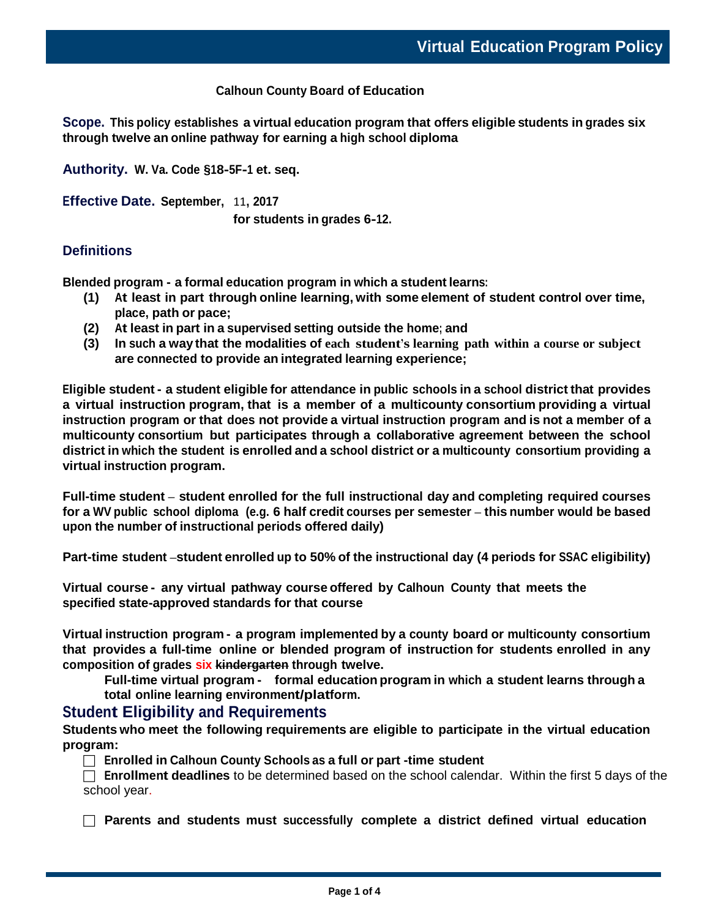#### **Calhoun County Board of Education**

**Scope. This policy establishes a virtual education program that offers eligible students in grades six through twelve an online pathway for earning a high school diploma**

**Authority. W. Va. Code §18-5F-1 et. seq.**

**Effective Date. September,** 11**, 2017**

**for students in grades 6-12.**

### **Definitions**

**Blended program - a formal education program in which a student learns:**

- **(1) At least in part through online learning, with some element of student control over time, place, path or pace;**
- **(2) At least in part in a supervised setting outside the home; and**
- **(3) In such a way that the modalities of each student's learning path within a course or subject are connected to provide an integrated learning experience;**

Eligible student - a student eligible for attendance in public schools in a school district that provides **a virtual instruction program, that is a member of a multicounty consortium providing a virtual instruction program or that does not provide a virtual instruction program and is not a member of a multicounty consortium but participates through a collaborative agreement between the school district in which the student is enrolled and a school district or a multicounty consortium providing a virtual instruction program.**

**Full-time student – student enrolled for the full instructional day and completing required courses**  for a WV public school diploma (e.g. 6 half credit courses per semester – this number would be based **upon the number of instructional periods offered daily)**

**Part-time student –student enrolled up to 50% of the instructional day (4 periods for SSAC eligibility)** 

**Virtual course - any virtual pathway course offered by Calhoun County that meets the specified state-approved standards for that course**

**Virtual instruction program - a program implemented by a county board or multicounty consortium that provides a full-time online or blended program of instruction for students enrolled in any composition of grades six kindergarten through twelve.**

**Full-time virtual program - formal education program in which a student learns through a total online learning environment/platform.**

### **Student Eligibility and Requirements**

**Students who meet the following requirements are eligible to participate in the virtual education program:**

**Enrolled in Calhoun County Schools as a full or part -time student**

 **Enrollment deadlines** to be determined based on the school calendar. Within the first 5 days of the school year.

**Parents and students must successfully complete a district defined virtual education**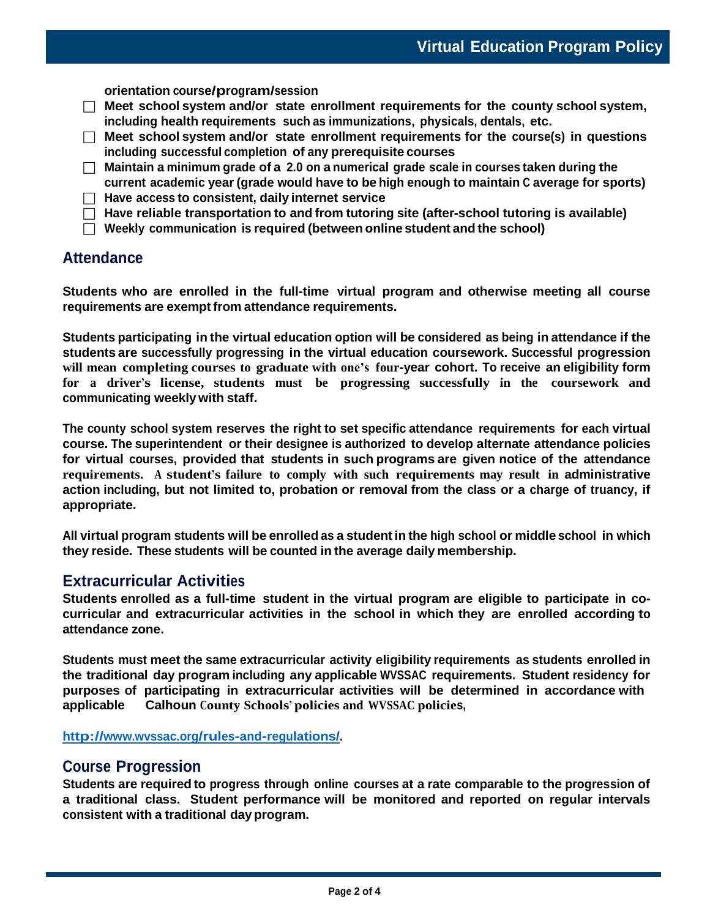**orientation course/program/session**

- **Meet school system and/or state enrollment requirements for the county school system, including health requirements such as immunizations, physicals, dentals, etc.**
- **Meet school system and/or state enrollment requirements for the course(s) in questions including successful completion of any prerequisite courses**
- **Maintain a minimum grade of a 2.0 on a numerical grade scale in courses taken during the current academic year (grade would have to be high enough to maintain C average for sports)**
- **Have access to consistent, daily internet service**

**Have reliable transportation to and from tutoring site (after-school tutoring is available)**

**Weekly communication is required (between online student and the school)**

## **Attendance**

**Students who are enrolled in the full-time virtual program and otherwise meeting all course requirements are exempt from attendance requirements.**

**Students participating in the virtual education option will be considered as being in attendance if the students are successfully progressing in the virtual education coursework. Successful progression will mean completing courses to graduate with one's four-year cohort. To receive an eligibility form for a driver's license, students must be progressing successfully in the coursework and communicating weekly with staff.**

**The county school system reserves the right to set specific attendance requirements for each virtual course. The superintendent or their designee is authorized to develop alternate attendance policies for virtual courses, provided that students in such programs are given notice of the attendance requirements. A student's failure to comply with such requirements may result in administrative**  action including, but not limited to, probation or removal from the class or a charge of truancy, if **appropriate.**

**All virtual program students will be enrolled as a student in the high school or middle school in which they reside. These students will be counted in the average daily membership.**

## **Extracurricular Activities**

**Students enrolled as a full-time student in the virtual program are eligible to participate in cocurricular and extracurricular activities in the school in which they are enrolled according to attendance zone.**

**Students must meet the same extracurricular activity eligibility requirements as students enrolled in the traditional day program including any applicable WVSSAC requirements. Student residency for purposes of participating in extracurricular activities will be determined in accordance with applicable Calhoun County Schools' policies and WVSSAC policies,**

**[http://www.wvssac.org/rules-and-regulations/.](http://www.wvssac.org/rules-and-regulations/)**

### **Course Progression**

**Students are required to progress through online courses at a rate comparable to the progression of a traditional class. Student performance will be monitored and reported on regular intervals consistent with a traditional day program.**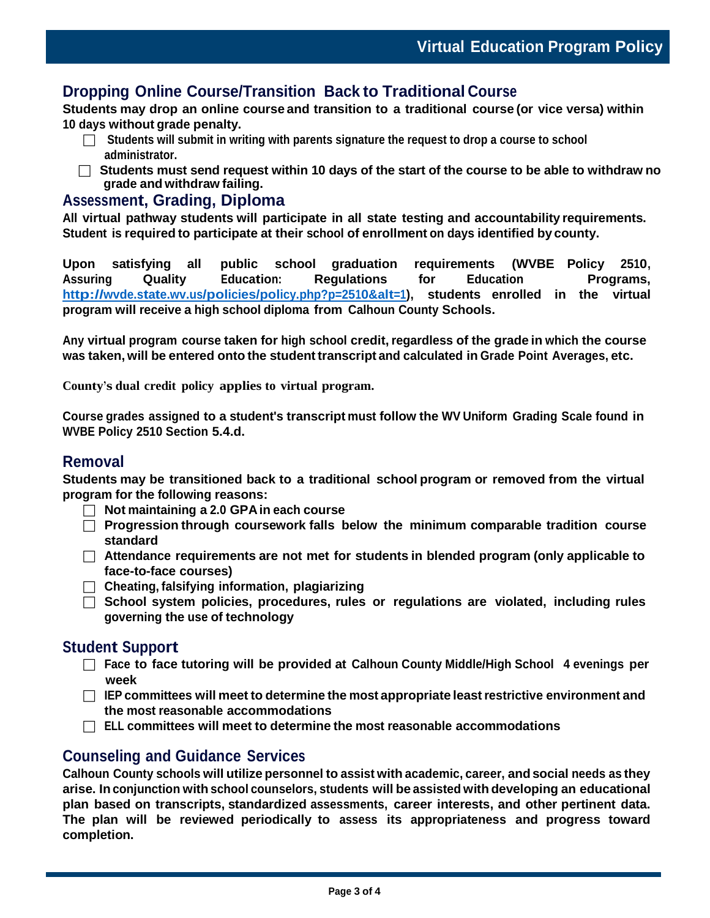# **Dropping Online Course/Transition Back to Traditional Course**

**Students may drop an online course and transition to a traditional course (or vice versa) within 10 days without grade penalty.**

- **Students will submit in writing with parents signature the request to drop a course to school administrator.**
- **Students must send request within 10 days of the start of the course to be able to withdraw no grade and withdraw failing.**

### **Assessment, Grading, Diploma**

**All virtual pathway students will participate in all state testing and accountability requirements. Student is required to participate at their school of enrollment on days identified by county.**

**Upon satisfying all public school graduation requirements (WVBE Policy 2510, Assuring Quality Education: Regulations for Education Programs, [http://wvde.state.wv.us/policies/policy.php?p=2510&alt=1\)](http://wvde.state.wv.us/policies/policy.php?p=2510&alt=1), students enrolled in the virtual program will receive a high school diploma from Calhoun County Schools.**

**Any virtual program course taken for high school credit,regardless of the grade in which the course was taken, will be entered onto the student transcript and calculated in Grade Point Averages, etc.**

**County's dual credit policy applies to virtual program.**

**Course grades assigned to a student's transcript must follow the WV Uniform Grading Scale found in WVBE Policy 2510 Section 5.4.d.**

### **Removal**

**Students may be transitioned back to a traditional school program or removed from the virtual program for the following reasons:**

- **Not maintaining a 2.0 GPAin each course**
- **Progression through coursework falls below the minimum comparable tradition course standard**
- **Attendance requirements are not met for students in blended program (only applicable to face-to-face courses)**
- **Cheating, falsifying information, plagiarizing**
- **School system policies, procedures, rules or regulations are violated, including rules governing the use of technology**

## **Student Support**

- **Face to face tutoring will be provided at Calhoun County Middle/High School 4 evenings per week**
- **IEP committees will meet to determine the most appropriate leastrestrictive environment and the most reasonable accommodations**
- **ELL committees will meet to determine the most reasonable accommodations**

## **Counseling and Guidance Services**

**Calhoun County schools will utilize personnel to assist with academic, career, andsocial needs as they arise. In conjunction with school counselors, students will be assisted with developing an educational plan based on transcripts, standardized assessments, career interests, and other pertinent data. The plan will be reviewed periodically to assess its appropriateness and progress toward completion.**